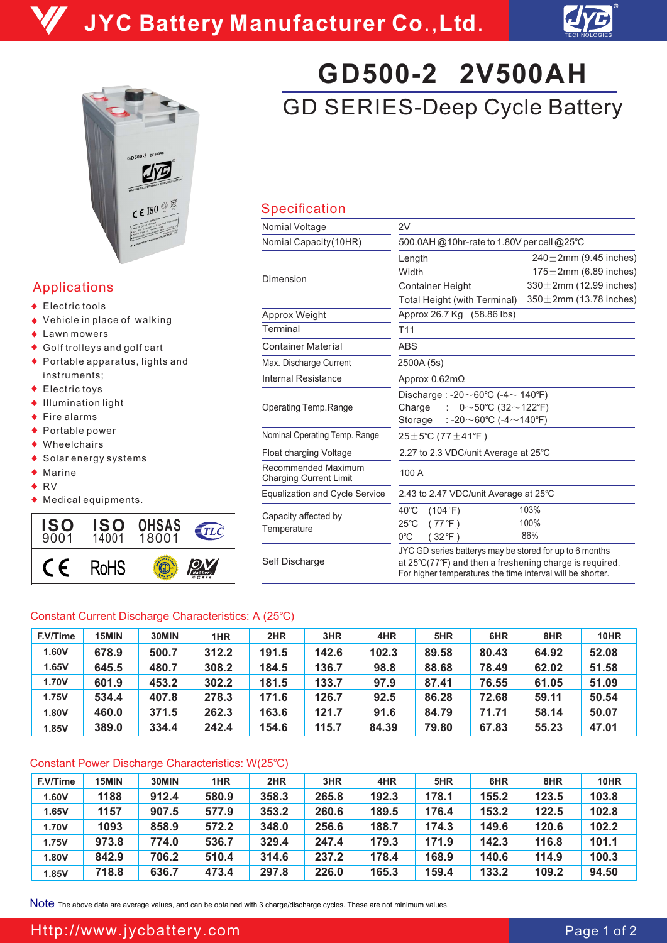



## Applications

- ◆ Electric tools
- ◆ Vehicle in place of walking
- ◆ Lawn mowers
- Golf trolleys and golf cart
- Portable apparatus, lights and instruments;
- ◆ Electric toys
- Illumination light
- $\triangle$  Fire alarms
- ◆ Portable power
- ◆ Wheelchairs
- Solar energy systems
- $\bullet$  Marine
- ◆ RV
- Medical equipments.



# GD SERIES-Deep Cycle Battery **GD500-2 2V500AH**

## Specification

| Nomial Voltage                                       | 2V                                                                                                                                                                               |                               |  |  |  |  |  |
|------------------------------------------------------|----------------------------------------------------------------------------------------------------------------------------------------------------------------------------------|-------------------------------|--|--|--|--|--|
| Nomial Capacity (10HR)                               | 500.0AH @10hr-rate to 1.80V per cell @25°C                                                                                                                                       |                               |  |  |  |  |  |
|                                                      | Length                                                                                                                                                                           | $240 \pm 2$ mm (9.45 inches)  |  |  |  |  |  |
|                                                      | Width                                                                                                                                                                            | $175 \pm 2$ mm (6.89 inches)  |  |  |  |  |  |
| Dimension                                            | <b>Container Height</b>                                                                                                                                                          | $330 \pm 2$ mm (12.99 inches) |  |  |  |  |  |
|                                                      | Total Height (with Terminal)                                                                                                                                                     | $350 \pm 2$ mm (13.78 inches) |  |  |  |  |  |
| Approx Weight                                        | Approx 26.7 Kg (58.86 lbs)                                                                                                                                                       |                               |  |  |  |  |  |
| Terminal                                             | T <sub>11</sub>                                                                                                                                                                  |                               |  |  |  |  |  |
| <b>Container Material</b>                            | <b>ABS</b>                                                                                                                                                                       |                               |  |  |  |  |  |
| Max. Discharge Current                               | 2500A (5s)                                                                                                                                                                       |                               |  |  |  |  |  |
| <b>Internal Resistance</b>                           | Approx 0.62mΩ                                                                                                                                                                    |                               |  |  |  |  |  |
| Operating Temp.Range                                 | Discharge: -20 $\sim$ 60°C (-4 $\sim$ 140°F)<br>0~50°C (32~122°F)<br>Charge<br>t.<br>: -20 $\sim$ 60°C (-4 $\sim$ 140°F)<br>Storage                                              |                               |  |  |  |  |  |
| Nominal Operating Temp. Range                        | $25 \pm 5^{\circ}$ C (77 $\pm$ 41 $^{\circ}$ F)                                                                                                                                  |                               |  |  |  |  |  |
| Float charging Voltage                               | 2.27 to 2.3 VDC/unit Average at 25°C                                                                                                                                             |                               |  |  |  |  |  |
| Recommended Maximum<br><b>Charging Current Limit</b> | 100 A                                                                                                                                                                            |                               |  |  |  |  |  |
| <b>Equalization and Cycle Service</b>                | 2.43 to 2.47 VDC/unit Average at 25°C                                                                                                                                            |                               |  |  |  |  |  |
| Capacity affected by                                 | $40^{\circ}$ C<br>(104 °F)                                                                                                                                                       | 103%                          |  |  |  |  |  |
| Temperature                                          | (77°F)<br>$25^{\circ}$ C                                                                                                                                                         | 100%                          |  |  |  |  |  |
|                                                      | $0^{\circ}$ C<br>(32°F)                                                                                                                                                          | 86%                           |  |  |  |  |  |
| Self Discharge                                       | JYC GD series batterys may be stored for up to 6 months<br>at 25°C(77°F) and then a freshening charge is required.<br>For higher temperatures the time interval will be shorter. |                               |  |  |  |  |  |

### Constant Current Discharge Characteristics: A (25℃)

| F.V/Time | 15MIN | 30MIN | 1HR   | 2HR   | 3HR   | 4HR   | 5HR   | 6HR   | 8HR   | 10HR  |
|----------|-------|-------|-------|-------|-------|-------|-------|-------|-------|-------|
| 1.60V    | 678.9 | 500.7 | 312.2 | 191.5 | 142.6 | 102.3 | 89.58 | 80.43 | 64.92 | 52.08 |
| 1.65V    | 645.5 | 480.7 | 308.2 | 184.5 | 136.7 | 98.8  | 88.68 | 78.49 | 62.02 | 51.58 |
| 1.70V    | 601.9 | 453.2 | 302.2 | 181.5 | 133.7 | 97.9  | 87.41 | 76.55 | 61.05 | 51.09 |
| 1.75V    | 534.4 | 407.8 | 278.3 | 171.6 | 126.7 | 92.5  | 86.28 | 72.68 | 59.11 | 50.54 |
| 1.80V    | 460.0 | 371.5 | 262.3 | 163.6 | 121.7 | 91.6  | 84.79 | 71.71 | 58.14 | 50.07 |
| 1.85V    | 389.0 | 334.4 | 242.4 | 154.6 | 115.7 | 84.39 | 79.80 | 67.83 | 55.23 | 47.01 |

### Constant Power Discharge Characteristics: W(25℃)

| F.V/Time | 15MIN | 30MIN | 1HR   | 2HR   | 3HR   | 4HR   | 5HR   | 6HR   | 8HR   | 10HR  |
|----------|-------|-------|-------|-------|-------|-------|-------|-------|-------|-------|
| 1.60V    | 1188  | 912.4 | 580.9 | 358.3 | 265.8 | 192.3 | 178.1 | 155.2 | 123.5 | 103.8 |
| 1.65V    | 1157  | 907.5 | 577.9 | 353.2 | 260.6 | 189.5 | 176.4 | 153.2 | 122.5 | 102.8 |
| 1.70V    | 1093  | 858.9 | 572.2 | 348.0 | 256.6 | 188.7 | 174.3 | 149.6 | 120.6 | 102.2 |
| 1.75V    | 973.8 | 774.0 | 536.7 | 329.4 | 247.4 | 179.3 | 171.9 | 142.3 | 116.8 | 101.1 |
| 1.80V    | 842.9 | 706.2 | 510.4 | 314.6 | 237.2 | 178.4 | 168.9 | 140.6 | 114.9 | 100.3 |
| 1.85V    | 718.8 | 636.7 | 473.4 | 297.8 | 226.0 | 165.3 | 159.4 | 133.2 | 109.2 | 94.50 |

Note The above data are average values, and can be obtained with 3 charge/discharge cycles. These are not minimum values.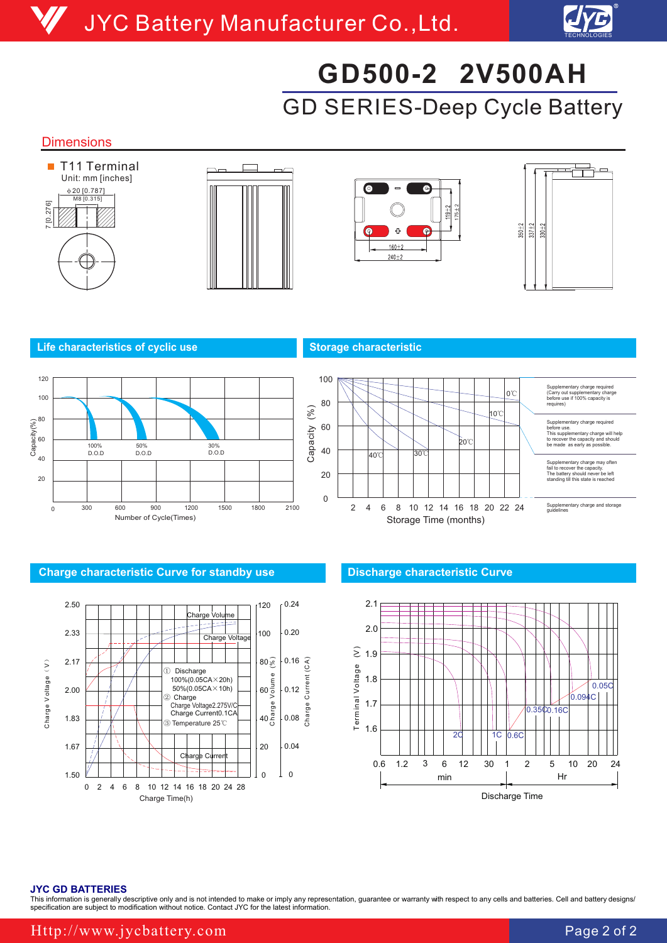

# GD SERIES-Deep Cycle Battery **GD500-2 2V500AH**

### **Dimensions**









#### **Life characteristics of cyclic use Storage characteristic Characteristic Article 2018**





#### **Charge characteristic Curve for standby use Discharge characteristic Curve**





#### **JYC GD BATTERIES**

This information is generally descriptive only and is not intended to make or imply any representation, guarantee or warranty with respect to any cells and batteries. Cell and battery designs, specification are subject to modification without notice. Contact JYC for the latest information.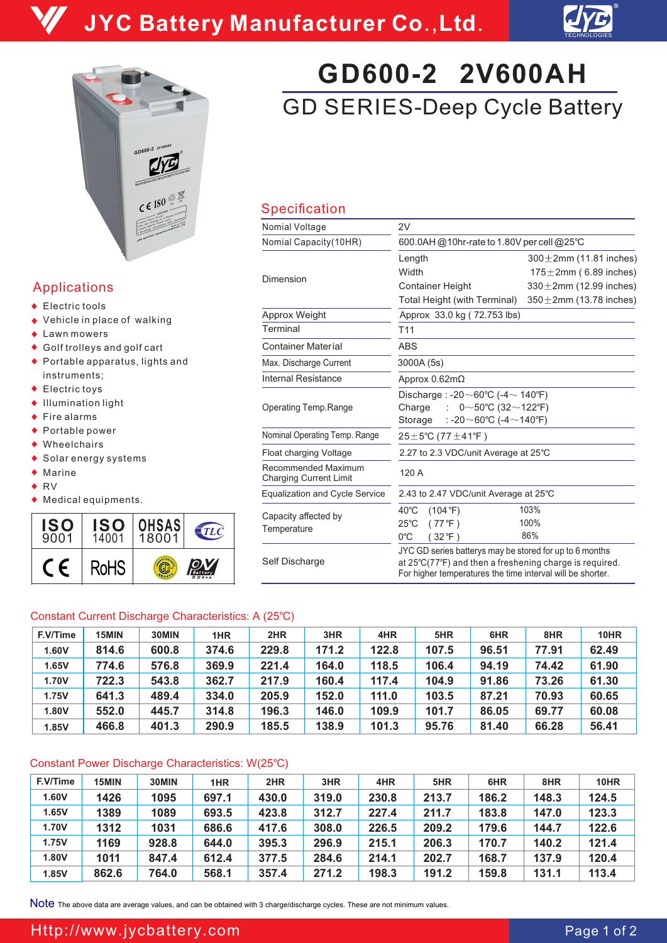



## Applications

- ◆ Electric tools
- ◆ Vehicle in place of walking
- ◆ Lawn mowers
- Golf trolleys and golf cart
- Portable apparatus, lights and instruments;
- ◆ Electric toys
- Illumination light
- $\triangle$  Fire alarms
- ◆ Portable power
- ◆ Wheelchairs
- Solar energy systems
- $\bullet$  Marine
- ◆ RV
- Medical equipments.



# GD SERIES-Deep Cycle Battery **GD600-2 2V600AH**

## Specification

| Nomial Voltage                                       | 2V                                                                                                                                                                               |                               |  |  |  |  |  |
|------------------------------------------------------|----------------------------------------------------------------------------------------------------------------------------------------------------------------------------------|-------------------------------|--|--|--|--|--|
| Nomial Capacity (10HR)                               | 600.0AH @10hr-rate to 1.80V per cell @25°C                                                                                                                                       |                               |  |  |  |  |  |
|                                                      | Length                                                                                                                                                                           | $300 \pm 2$ mm (11.81 inches) |  |  |  |  |  |
| Dimension                                            | Width                                                                                                                                                                            | $175 \pm 2$ mm (6.89 inches)  |  |  |  |  |  |
|                                                      | <b>Container Height</b>                                                                                                                                                          | $330 \pm 2$ mm (12.99 inches) |  |  |  |  |  |
|                                                      | Total Height (with Terminal)                                                                                                                                                     | $350 \pm 2$ mm (13.78 inches) |  |  |  |  |  |
| Approx Weight                                        | Approx 33.0 kg (72.753 lbs)                                                                                                                                                      |                               |  |  |  |  |  |
| Terminal                                             | T <sub>11</sub>                                                                                                                                                                  |                               |  |  |  |  |  |
| <b>Container Material</b>                            | <b>ABS</b>                                                                                                                                                                       |                               |  |  |  |  |  |
| Max. Discharge Current                               | 3000A (5s)                                                                                                                                                                       |                               |  |  |  |  |  |
| Internal Resistance                                  | Approx $0.62 \text{m}\Omega$                                                                                                                                                     |                               |  |  |  |  |  |
| Operating Temp.Range                                 | Discharge: -20 $\sim$ 60°C (-4 $\sim$ 140°F)<br>0~50°C (32~122°F)<br>Charge<br>÷.<br>: -20 $\sim$ 60°C (-4 $\sim$ 140°F)<br>Storage                                              |                               |  |  |  |  |  |
| Nominal Operating Temp. Range                        | $25 \pm 5^{\circ}$ C (77 $\pm$ 41°F)                                                                                                                                             |                               |  |  |  |  |  |
| Float charging Voltage                               | 2.27 to 2.3 VDC/unit Average at 25°C                                                                                                                                             |                               |  |  |  |  |  |
| Recommended Maximum<br><b>Charging Current Limit</b> | 120 A                                                                                                                                                                            |                               |  |  |  |  |  |
| <b>Equalization and Cycle Service</b>                | 2.43 to 2.47 VDC/unit Average at 25°C                                                                                                                                            |                               |  |  |  |  |  |
| Capacity affected by<br>Temperature                  | $40^{\circ}$ C<br>(104 °F)<br>(77°F)<br>$25^{\circ}$ C<br>$0^{\circ}$ C<br>(32 °F)                                                                                               | 103%<br>100%<br>86%           |  |  |  |  |  |
| Self Discharge                                       | JYC GD series batterys may be stored for up to 6 months<br>at 25°C(77°F) and then a freshening charge is required.<br>For higher temperatures the time interval will be shorter. |                               |  |  |  |  |  |

### Constant Current Discharge Characteristics: A (25℃)

| F.V/Time | 15MIN | 30MIN | 1HR   | 2HR   | 3HR   | 4HR   | 5HR   | 6HR   | 8HR   | 10HR  |
|----------|-------|-------|-------|-------|-------|-------|-------|-------|-------|-------|
| 1.60V    | 814.6 | 600.8 | 374.6 | 229.8 | 171.2 | 122.8 | 107.5 | 96.51 | 77.91 | 62.49 |
| 1.65V    | 774.6 | 576.8 | 369.9 | 221.4 | 164.0 | 118.5 | 106.4 | 94.19 | 74.42 | 61.90 |
| 1.70V    | 722.3 | 543.8 | 362.7 | 217.9 | 160.4 | 117.4 | 104.9 | 91.86 | 73.26 | 61.30 |
| 1.75V    | 641.3 | 489.4 | 334.0 | 205.9 | 152.0 | 111.0 | 103.5 | 87.21 | 70.93 | 60.65 |
| 1.80V    | 552.0 | 445.7 | 314.8 | 196.3 | 146.0 | 109.9 | 101.7 | 86.05 | 69.77 | 60.08 |
| 1.85V    | 466.8 | 401.3 | 290.9 | 185.5 | 138.9 | 101.3 | 95.76 | 81.40 | 66.28 | 56.41 |

### Constant Power Discharge Characteristics: W(25℃)

| F.V/Time | 15MIN | 30MIN | 1HR   | 2HR   | 3HR   | 4HR   | 5HR   | 6HR   | 8HR   | 10HR  |
|----------|-------|-------|-------|-------|-------|-------|-------|-------|-------|-------|
| 1.60V    | 1426  | 1095  | 697.1 | 430.0 | 319.0 | 230.8 | 213.7 | 186.2 | 148.3 | 124.5 |
| 1.65V    | 1389  | 1089  | 693.5 | 423.8 | 312.7 | 227.4 | 211.7 | 183.8 | 147.0 | 123.3 |
| 1.70V    | 1312  | 1031  | 686.6 | 417.6 | 308.0 | 226.5 | 209.2 | 179.6 | 144.7 | 122.6 |
| 1.75V    | 1169  | 928.8 | 644.0 | 395.3 | 296.9 | 215.1 | 206.3 | 170.7 | 140.2 | 121.4 |
| 1.80V    | 1011  | 847.4 | 612.4 | 377.5 | 284.6 | 214.1 | 202.7 | 168.7 | 137.9 | 120.4 |
| 1.85V    | 862.6 | 764.0 | 568.1 | 357.4 | 271.2 | 198.3 | 191.2 | 159.8 | 131.1 | 113.4 |

Note The above data are average values, and can be obtained with 3 charge/discharge cycles. These are not minimum values.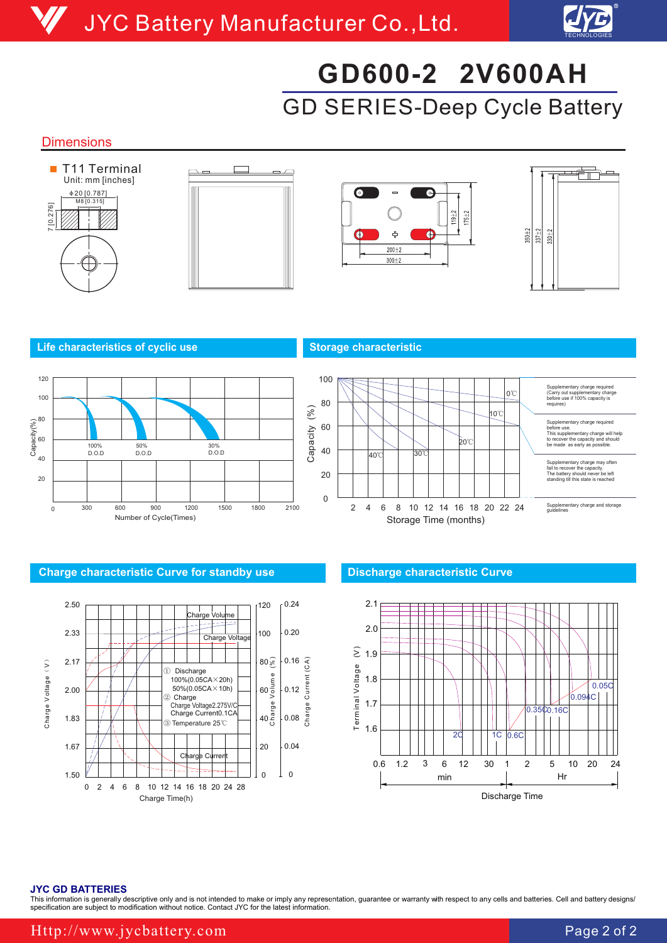

# GD SERIES-Deep Cycle Battery **GD600-2 2V600AH**

### **Dimensions**









#### **Life characteristics of cyclic use Storage characteristic Characteristic Article 2018**





#### **Charge characteristic Curve for standby use Discharge characteristic Curve**





#### **JYC GD BATTERIES**

This information is generally descriptive only and is not intended to make or imply any representation, guarantee or warranty with respect to any cells and batteries. Cell and battery designs, specification are subject to modification without notice. Contact JYC for the latest information.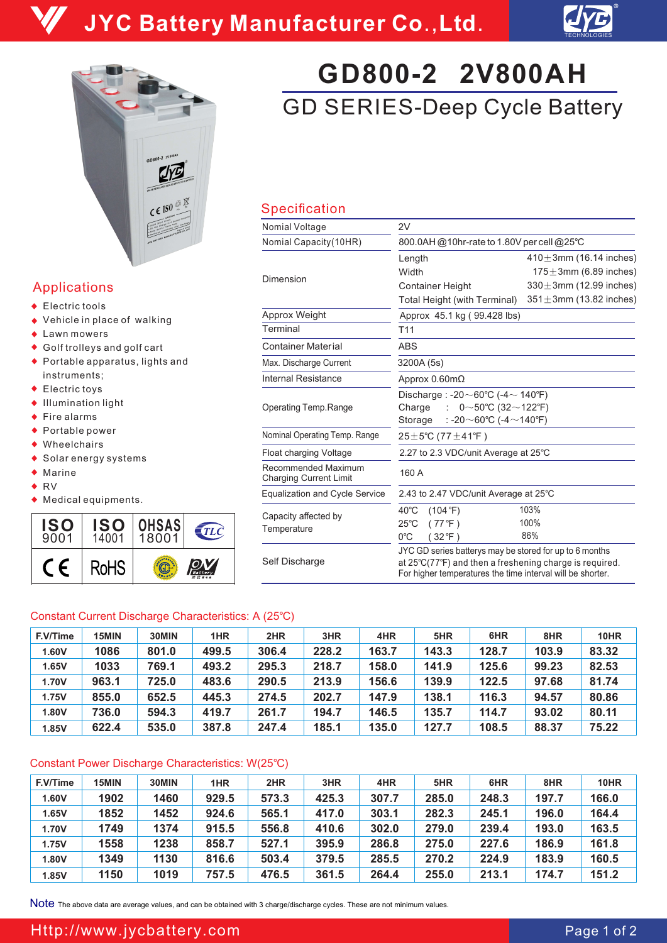



## Applications

- ◆ Electric tools
- ◆ Vehicle in place of walking
- ◆ Lawn mowers
- Golf trolleys and golf cart
- Portable apparatus, lights and instruments;
- ◆ Electric toys
- Illumination light
- $\triangle$  Fire alarms
- ◆ Portable power
- ◆ Wheelchairs
- Solar energy systems
- $\bullet$  Marine
- ◆ RV
- Medical equipments.



# GD SERIES-Deep Cycle Battery **GD800-2 2V800AH**

## Specification

| Nomial Voltage                                       | 2V                                                                                                                                                                               |                               |  |  |  |  |
|------------------------------------------------------|----------------------------------------------------------------------------------------------------------------------------------------------------------------------------------|-------------------------------|--|--|--|--|
| Nomial Capacity (10HR)                               | 800.0AH @10hr-rate to 1.80V per cell @25°C                                                                                                                                       |                               |  |  |  |  |
|                                                      | Length                                                                                                                                                                           | $410 \pm 3$ mm (16.14 inches) |  |  |  |  |
| Dimension                                            | Width                                                                                                                                                                            | $175 \pm 3$ mm (6.89 inches)  |  |  |  |  |
|                                                      | <b>Container Height</b>                                                                                                                                                          | $330 \pm 3$ mm (12.99 inches) |  |  |  |  |
|                                                      | Total Height (with Terminal)                                                                                                                                                     | $351 \pm 3$ mm (13.82 inches) |  |  |  |  |
| Approx Weight                                        | Approx 45.1 kg (99.428 lbs)                                                                                                                                                      |                               |  |  |  |  |
| Terminal                                             | T <sub>11</sub>                                                                                                                                                                  |                               |  |  |  |  |
| <b>Container Material</b>                            | <b>ABS</b>                                                                                                                                                                       |                               |  |  |  |  |
| Max. Discharge Current                               | 3200A (5s)                                                                                                                                                                       |                               |  |  |  |  |
| Internal Resistance                                  | Approx $0.60 \text{m}\Omega$                                                                                                                                                     |                               |  |  |  |  |
| Operating Temp.Range                                 | Discharge: -20 $\sim$ 60°C (-4 $\sim$ 140°F)<br>Charge<br>0~50°C (32~122°F)<br>÷<br>: -20 $\sim$ 60°C (-4 $\sim$ 140°F)<br>Storage                                               |                               |  |  |  |  |
| Nominal Operating Temp. Range                        | $25 \pm 5^{\circ}$ C (77 $\pm$ 41 $^{\circ}$ F)                                                                                                                                  |                               |  |  |  |  |
| Float charging Voltage                               | 2.27 to 2.3 VDC/unit Average at 25°C                                                                                                                                             |                               |  |  |  |  |
| Recommended Maximum<br><b>Charging Current Limit</b> | 160 A                                                                                                                                                                            |                               |  |  |  |  |
| <b>Equalization and Cycle Service</b>                | 2.43 to 2.47 VDC/unit Average at 25°C                                                                                                                                            |                               |  |  |  |  |
| Capacity affected by<br>Temperature                  | $40^{\circ}$ C<br>(104 °F)<br>$25^{\circ}$ C<br>(77°F)<br>$0^{\circ}$ C<br>(32°F)                                                                                                | 103%<br>100%<br>86%           |  |  |  |  |
| Self Discharge                                       | JYC GD series batterys may be stored for up to 6 months<br>at 25°C(77°F) and then a freshening charge is required.<br>For higher temperatures the time interval will be shorter. |                               |  |  |  |  |

### Constant Current Discharge Characteristics: A (25℃)

| F.V/Time     | 15MIN | 30MIN | 1HR   | 2HR   | 3HR   | 4HR   | 5HR   | 6HR   | 8HR   | 10HR  |
|--------------|-------|-------|-------|-------|-------|-------|-------|-------|-------|-------|
| 1.60V        | 1086  | 801.0 | 499.5 | 306.4 | 228.2 | 163.7 | 143.3 | 128.7 | 103.9 | 83.32 |
| 1.65V        | 1033  | 769.1 | 493.2 | 295.3 | 218.7 | 158.0 | 141.9 | 125.6 | 99.23 | 82.53 |
| <b>1.70V</b> | 963.1 | 725.0 | 483.6 | 290.5 | 213.9 | 156.6 | 139.9 | 122.5 | 97.68 | 81.74 |
| 1.75V        | 855.0 | 652.5 | 445.3 | 274.5 | 202.7 | 147.9 | 138.1 | 116.3 | 94.57 | 80.86 |
| 1.80V        | 736.0 | 594.3 | 419.7 | 261.7 | 194.7 | 146.5 | 135.7 | 114.7 | 93.02 | 80.11 |
| 1.85V        | 622.4 | 535.0 | 387.8 | 247.4 | 185.1 | 135.0 | 127.7 | 108.5 | 88.37 | 75.22 |

### Constant Power Discharge Characteristics: W(25℃)

| F.V/Time | 15MIN | 30MIN | 1HR   | 2HR   | 3HR   | 4HR   | 5HR   | 6HR   | 8HR   | 10HR  |
|----------|-------|-------|-------|-------|-------|-------|-------|-------|-------|-------|
| 1.60V    | 1902  | 1460  | 929.5 | 573.3 | 425.3 | 307.7 | 285.0 | 248.3 | 197.7 | 166.0 |
| 1.65V    | 1852  | 1452  | 924.6 | 565.1 | 417.0 | 303.1 | 282.3 | 245.1 | 196.0 | 164.4 |
| 1.70V    | 1749  | 1374  | 915.5 | 556.8 | 410.6 | 302.0 | 279.0 | 239.4 | 193.0 | 163.5 |
| 1.75V    | 1558  | 1238  | 858.7 | 527.1 | 395.9 | 286.8 | 275.0 | 227.6 | 186.9 | 161.8 |
| 1.80V    | 1349  | 1130  | 816.6 | 503.4 | 379.5 | 285.5 | 270.2 | 224.9 | 183.9 | 160.5 |
| 1.85V    | 1150  | 1019  | 757.5 | 476.5 | 361.5 | 264.4 | 255.0 | 213.1 | 174.7 | 151.2 |

Note The above data are average values, and can be obtained with 3 charge/discharge cycles. These are not minimum values.